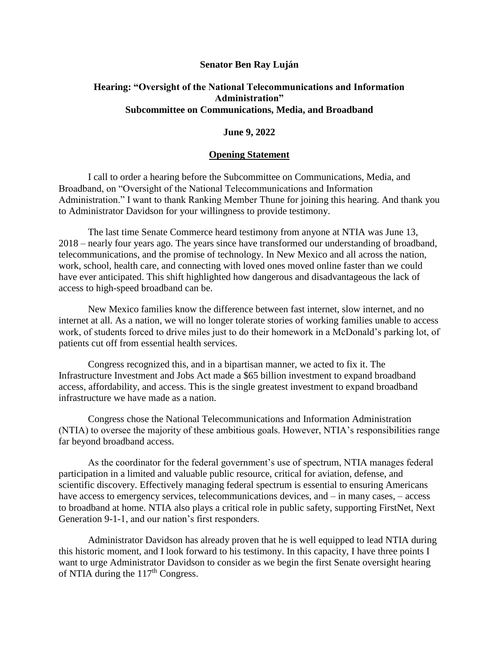## **Senator Ben Ray Luján**

## **Hearing: "Oversight of the National Telecommunications and Information Administration" Subcommittee on Communications, Media, and Broadband**

## **June 9, 2022**

## **Opening Statement**

I call to order a hearing before the Subcommittee on Communications, Media, and Broadband, on "Oversight of the National Telecommunications and Information Administration." I want to thank Ranking Member Thune for joining this hearing. And thank you to Administrator Davidson for your willingness to provide testimony.

The last time Senate Commerce heard testimony from anyone at NTIA was June 13, 2018 – nearly four years ago. The years since have transformed our understanding of broadband, telecommunications, and the promise of technology. In New Mexico and all across the nation, work, school, health care, and connecting with loved ones moved online faster than we could have ever anticipated. This shift highlighted how dangerous and disadvantageous the lack of access to high-speed broadband can be.

New Mexico families know the difference between fast internet, slow internet, and no internet at all. As a nation, we will no longer tolerate stories of working families unable to access work, of students forced to drive miles just to do their homework in a McDonald's parking lot, of patients cut off from essential health services.

Congress recognized this, and in a bipartisan manner, we acted to fix it. The Infrastructure Investment and Jobs Act made a \$65 billion investment to expand broadband access, affordability, and access. This is the single greatest investment to expand broadband infrastructure we have made as a nation.

Congress chose the National Telecommunications and Information Administration (NTIA) to oversee the majority of these ambitious goals. However, NTIA's responsibilities range far beyond broadband access.

As the coordinator for the federal government's use of spectrum, NTIA manages federal participation in a limited and valuable public resource, critical for aviation, defense, and scientific discovery. Effectively managing federal spectrum is essential to ensuring Americans have access to emergency services, telecommunications devices, and – in many cases, – access to broadband at home. NTIA also plays a critical role in public safety, supporting FirstNet, Next Generation 9-1-1, and our nation's first responders.

Administrator Davidson has already proven that he is well equipped to lead NTIA during this historic moment, and I look forward to his testimony. In this capacity, I have three points I want to urge Administrator Davidson to consider as we begin the first Senate oversight hearing of NTIA during the 117<sup>th</sup> Congress.